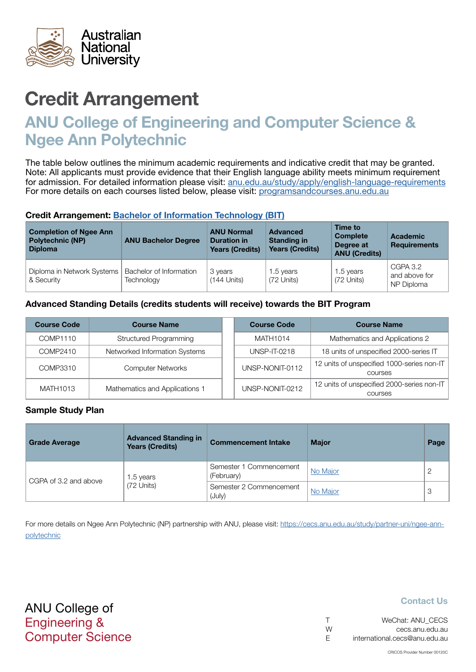

# Credit Arrangement

## ANU College of Engineering and Computer Science & Ngee Ann Polytechnic

The table below outlines the minimum academic requirements and indicative credit that may be granted. Note: All applicants must provide evidence that their English language ability meets minimum requirement for admission. For detailed information please visit: [anu.edu.au/study/apply/english-language-requirements](http://anu.edu.au/study/apply/english-language-requirements) For more details on each courses listed below, please visit: [programsandcourses.anu.edu.au](http://programsandcourses.anu.edu.au/program/BIT)

#### Credit Arrangement: [Bachelor of](http://programsandcourses.anu.edu.au/program/BIT) Information Technology (BIT)

| <b>Completion of Ngee Ann</b><br><b>Polytechnic (NP)</b><br><b>Diploma</b> | <b>ANU Bachelor Degree</b>            | <b>ANU Normal</b><br><b>Duration in</b><br><b>Years (Credits)</b> | <b>Advanced</b><br><b>Standing in</b><br><b>Years (Credits)</b> | Time to<br><b>Complete</b><br>Degree at<br><b>ANU (Credits)</b> | <b>Academic</b><br><b>Requirements</b>  |
|----------------------------------------------------------------------------|---------------------------------------|-------------------------------------------------------------------|-----------------------------------------------------------------|-----------------------------------------------------------------|-----------------------------------------|
| Diploma in Network Systems<br>& Security                                   | Bachelor of Information<br>Technology | 3 years<br>(144 Units)                                            | 1.5 years<br>(72 Units)                                         | 1.5 years<br>(72 Units)                                         | CGPA 3.2<br>and above for<br>NP Diploma |

#### Advanced Standing Details (credits students will receive) towards the BIT Program

| <b>Course Code</b> | <b>Course Name</b>             |  | <b>Course Code</b>  | <b>Course Name</b>                                    |
|--------------------|--------------------------------|--|---------------------|-------------------------------------------------------|
| COMP1110           | <b>Structured Programming</b>  |  | MATH1014            | Mathematics and Applications 2                        |
| COMP2410           | Networked Information Systems  |  | <b>UNSP-IT-0218</b> | 18 units of unspecified 2000-series IT                |
| COMP3310           | <b>Computer Networks</b>       |  | UNSP-NONIT-0112     | 12 units of unspecified 1000-series non-IT<br>courses |
| MATH1013           | Mathematics and Applications 1 |  | UNSP-NONIT-0212     | 12 units of unspecified 2000-series non-IT<br>courses |

#### Sample Study Plan

| <b>Grade Average</b>  | <b>Advanced Standing in</b><br><b>Years (Credits)</b> | <b>Commencement Intake</b>            | <b>Major</b> | Page |
|-----------------------|-------------------------------------------------------|---------------------------------------|--------------|------|
|                       | 1.5 years                                             | Semester 1 Commencement<br>(February) | No Major     |      |
| CGPA of 3.2 and above | (72 Units)                                            | Semester 2 Commencement<br>(July)     | No Major     | 3    |

For more details on Ngee Ann Polytechnic (NP) partnership with ANU, please visit: https://cecs.anu.edu.au/study/partner-uni/ngee-annpolytechnic

ANU College of Engineering & Computer Science

#### Contact Us

|   | WeChat: ANU CECS              |
|---|-------------------------------|
| W | cecs.anu.edu.au               |
| F | international.cecs@anu.edu.au |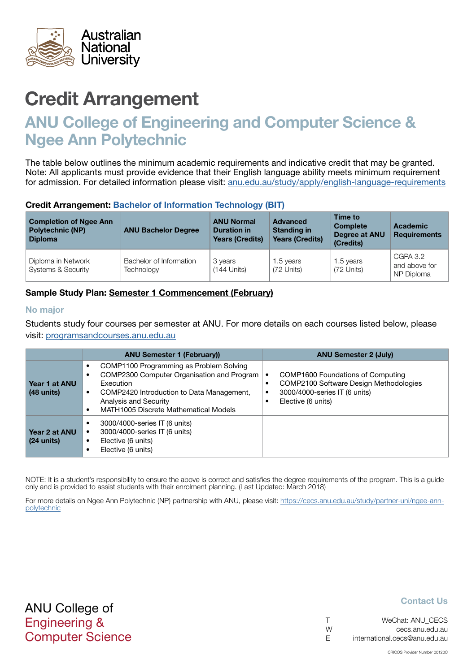<span id="page-1-0"></span>

# Credit Arrangement

## ANU College of Engineering and Computer Science & Ngee Ann Polytechnic

The table below outlines the minimum academic requirements and indicative credit that may be granted. Note: All applicants must provide evidence that their English language ability meets minimum requirement for admission. For detailed information please visit: [anu.edu.au/study/apply/english-language-requirements](http://anu.edu.au/study/apply/english-language-requirements)

#### Credit Arrangement: [Bachelor of](http://programsandcourses.anu.edu.au/program/BIT) Information Technology (BIT)

| <b>Completion of Ngee Ann</b><br><b>Polytechnic (NP)</b><br><b>Diploma</b> | <b>ANU Bachelor Degree</b>            | <b>ANU Normal</b><br><b>Duration in</b><br><b>Years (Credits)</b> | <b>Advanced</b><br><b>Standing in</b><br><b>Years (Credits)</b> | Time to<br><b>Complete</b><br>Degree at ANU<br>(Credits) | Academic<br><b>Requirements</b>         |
|----------------------------------------------------------------------------|---------------------------------------|-------------------------------------------------------------------|-----------------------------------------------------------------|----------------------------------------------------------|-----------------------------------------|
| Diploma in Network<br><b>Systems &amp; Security</b>                        | Bachelor of Information<br>Technology | 3 years<br>$(144$ Units)                                          | 1.5 years<br>(72 Units)                                         | 1.5 years<br>(72 Units)                                  | CGPA 3.2<br>and above for<br>NP Diploma |

#### Sample Study Plan: Semester 1 Commencement (February)

#### No major

Students study four courses per semester at ANU. For more details on each courses listed below, please visit: [programsandcourses.anu.edu.au](http://programsandcourses.anu.edu.au/program/BIT)

|                               | <b>ANU Semester 1 (February))</b>                                                                                                                                                                                        | <b>ANU Semester 2 (July)</b>                                                                                                       |
|-------------------------------|--------------------------------------------------------------------------------------------------------------------------------------------------------------------------------------------------------------------------|------------------------------------------------------------------------------------------------------------------------------------|
| Year 1 at ANU<br>$(48$ units) | COMP1100 Programming as Problem Solving<br>COMP2300 Computer Organisation and Program<br>Execution<br>COMP2420 Introduction to Data Management,<br>Analysis and Security<br><b>MATH1005 Discrete Mathematical Models</b> | COMP1600 Foundations of Computing<br>COMP2100 Software Design Methodologies<br>3000/4000-series IT (6 units)<br>Elective (6 units) |
| Year 2 at ANU<br>$(24$ units) | 3000/4000-series IT (6 units)<br>3000/4000-series IT (6 units)<br>Elective (6 units)<br>Elective (6 units)                                                                                                               |                                                                                                                                    |

NOTE: It is a student's responsibility to ensure the above is correct and satisfies the degree requirements of the program. This is a guide only and is provided to assist students with their enrolment planning. (Last Updated: March 2018)

For more details on Ngee Ann Polytechnic (NP) partnership with ANU, please visit: https://cecs.anu.edu.au/study/partner-uni/ngee-annpolytechnic

### ANU College of Engineering & Computer Science

#### Contact Us

|   | WeChat: ANU CECS              |
|---|-------------------------------|
| W | cecs.anu.edu.au               |
| E | international.cecs@anu.edu.au |